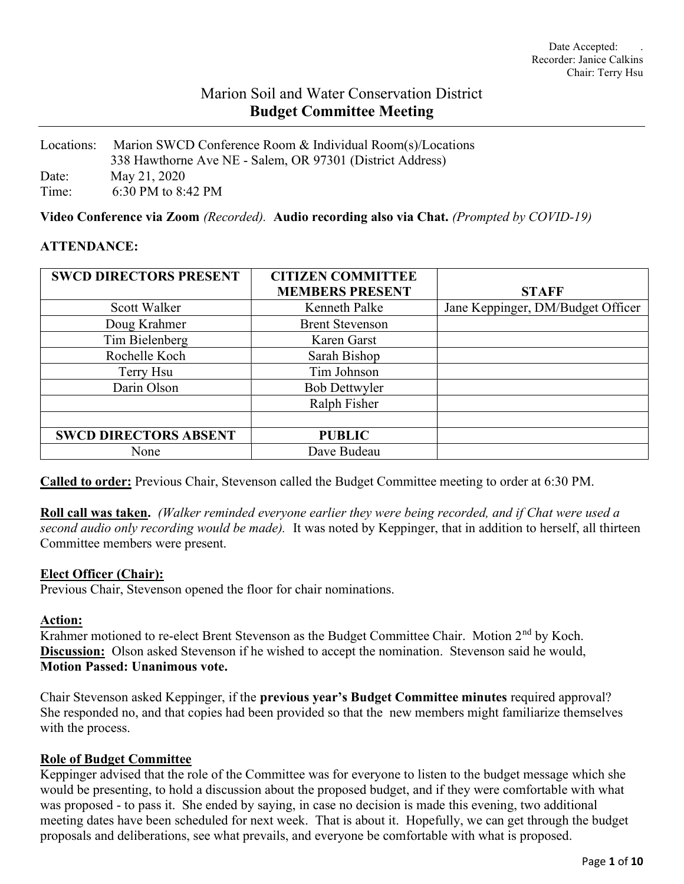# Marion Soil and Water Conservation District Budget Committee Meeting

Locations: Marion SWCD Conference Room & Individual Room(s)/Locations 338 Hawthorne Ave NE - Salem, OR 97301 (District Address) Date: May 21, 2020 Time: 6:30 PM to 8:42 PM

Video Conference via Zoom (Recorded). Audio recording also via Chat. (Prompted by COVID-19)

#### ATTENDANCE:

| <b>SWCD DIRECTORS PRESENT</b> | <b>CITIZEN COMMITTEE</b> |                                   |
|-------------------------------|--------------------------|-----------------------------------|
|                               | <b>MEMBERS PRESENT</b>   | <b>STAFF</b>                      |
| Scott Walker                  | Kenneth Palke            | Jane Keppinger, DM/Budget Officer |
| Doug Krahmer                  | <b>Brent Stevenson</b>   |                                   |
| Tim Bielenberg                | Karen Garst              |                                   |
| Rochelle Koch                 | Sarah Bishop             |                                   |
| Terry Hsu                     | Tim Johnson              |                                   |
| Darin Olson                   | <b>Bob Dettwyler</b>     |                                   |
|                               | Ralph Fisher             |                                   |
|                               |                          |                                   |
| <b>SWCD DIRECTORS ABSENT</b>  | <b>PUBLIC</b>            |                                   |
| None                          | Dave Budeau              |                                   |

Called to order: Previous Chair, Stevenson called the Budget Committee meeting to order at 6:30 PM.

Roll call was taken. (Walker reminded everyone earlier they were being recorded, and if Chat were used a second audio only recording would be made). It was noted by Keppinger, that in addition to herself, all thirteen Committee members were present.

#### Elect Officer (Chair):

Previous Chair, Stevenson opened the floor for chair nominations.

#### Action:

Krahmer motioned to re-elect Brent Stevenson as the Budget Committee Chair. Motion 2<sup>nd</sup> by Koch. Discussion: Olson asked Stevenson if he wished to accept the nomination. Stevenson said he would, Motion Passed: Unanimous vote.

Chair Stevenson asked Keppinger, if the previous year's Budget Committee minutes required approval? She responded no, and that copies had been provided so that the new members might familiarize themselves with the process.

#### Role of Budget Committee

Keppinger advised that the role of the Committee was for everyone to listen to the budget message which she would be presenting, to hold a discussion about the proposed budget, and if they were comfortable with what was proposed - to pass it. She ended by saying, in case no decision is made this evening, two additional meeting dates have been scheduled for next week. That is about it. Hopefully, we can get through the budget proposals and deliberations, see what prevails, and everyone be comfortable with what is proposed.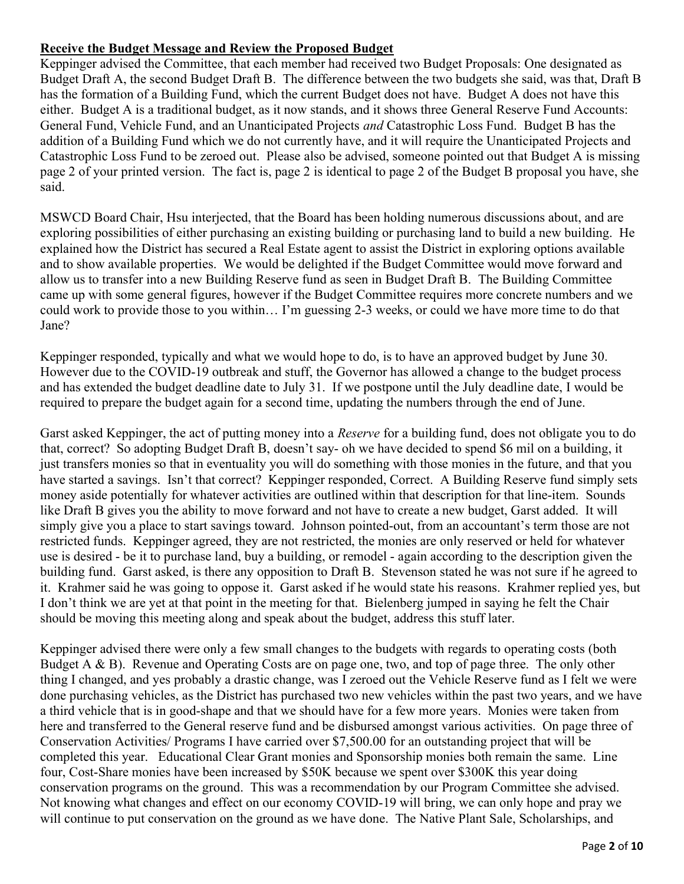## Receive the Budget Message and Review the Proposed Budget

Keppinger advised the Committee, that each member had received two Budget Proposals: One designated as Budget Draft A, the second Budget Draft B. The difference between the two budgets she said, was that, Draft B has the formation of a Building Fund, which the current Budget does not have. Budget A does not have this either. Budget A is a traditional budget, as it now stands, and it shows three General Reserve Fund Accounts: General Fund, Vehicle Fund, and an Unanticipated Projects and Catastrophic Loss Fund. Budget B has the addition of a Building Fund which we do not currently have, and it will require the Unanticipated Projects and Catastrophic Loss Fund to be zeroed out. Please also be advised, someone pointed out that Budget A is missing page 2 of your printed version. The fact is, page 2 is identical to page 2 of the Budget B proposal you have, she said.

MSWCD Board Chair, Hsu interjected, that the Board has been holding numerous discussions about, and are exploring possibilities of either purchasing an existing building or purchasing land to build a new building. He explained how the District has secured a Real Estate agent to assist the District in exploring options available and to show available properties. We would be delighted if the Budget Committee would move forward and allow us to transfer into a new Building Reserve fund as seen in Budget Draft B. The Building Committee came up with some general figures, however if the Budget Committee requires more concrete numbers and we could work to provide those to you within… I'm guessing 2-3 weeks, or could we have more time to do that Jane?

Keppinger responded, typically and what we would hope to do, is to have an approved budget by June 30. However due to the COVID-19 outbreak and stuff, the Governor has allowed a change to the budget process and has extended the budget deadline date to July 31. If we postpone until the July deadline date, I would be required to prepare the budget again for a second time, updating the numbers through the end of June.

Garst asked Keppinger, the act of putting money into a *Reserve* for a building fund, does not obligate you to do that, correct? So adopting Budget Draft B, doesn't say- oh we have decided to spend \$6 mil on a building, it just transfers monies so that in eventuality you will do something with those monies in the future, and that you have started a savings. Isn't that correct? Keppinger responded, Correct. A Building Reserve fund simply sets money aside potentially for whatever activities are outlined within that description for that line-item. Sounds like Draft B gives you the ability to move forward and not have to create a new budget, Garst added. It will simply give you a place to start savings toward. Johnson pointed-out, from an accountant's term those are not restricted funds. Keppinger agreed, they are not restricted, the monies are only reserved or held for whatever use is desired - be it to purchase land, buy a building, or remodel - again according to the description given the building fund. Garst asked, is there any opposition to Draft B. Stevenson stated he was not sure if he agreed to it. Krahmer said he was going to oppose it. Garst asked if he would state his reasons. Krahmer replied yes, but I don't think we are yet at that point in the meeting for that. Bielenberg jumped in saying he felt the Chair should be moving this meeting along and speak about the budget, address this stuff later.

Keppinger advised there were only a few small changes to the budgets with regards to operating costs (both Budget A & B). Revenue and Operating Costs are on page one, two, and top of page three. The only other thing I changed, and yes probably a drastic change, was I zeroed out the Vehicle Reserve fund as I felt we were done purchasing vehicles, as the District has purchased two new vehicles within the past two years, and we have a third vehicle that is in good-shape and that we should have for a few more years. Monies were taken from here and transferred to the General reserve fund and be disbursed amongst various activities. On page three of Conservation Activities/ Programs I have carried over \$7,500.00 for an outstanding project that will be completed this year. Educational Clear Grant monies and Sponsorship monies both remain the same. Line four, Cost-Share monies have been increased by \$50K because we spent over \$300K this year doing conservation programs on the ground. This was a recommendation by our Program Committee she advised. Not knowing what changes and effect on our economy COVID-19 will bring, we can only hope and pray we will continue to put conservation on the ground as we have done. The Native Plant Sale, Scholarships, and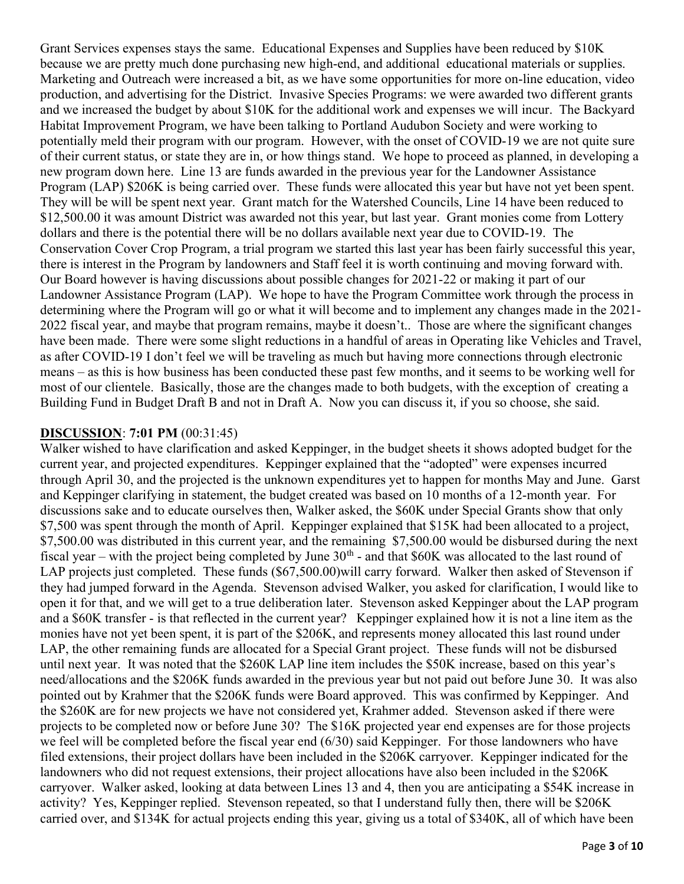Grant Services expenses stays the same. Educational Expenses and Supplies have been reduced by \$10K because we are pretty much done purchasing new high-end, and additional educational materials or supplies. Marketing and Outreach were increased a bit, as we have some opportunities for more on-line education, video production, and advertising for the District. Invasive Species Programs: we were awarded two different grants and we increased the budget by about \$10K for the additional work and expenses we will incur. The Backyard Habitat Improvement Program, we have been talking to Portland Audubon Society and were working to potentially meld their program with our program. However, with the onset of COVID-19 we are not quite sure of their current status, or state they are in, or how things stand. We hope to proceed as planned, in developing a new program down here. Line 13 are funds awarded in the previous year for the Landowner Assistance Program (LAP) \$206K is being carried over. These funds were allocated this year but have not yet been spent. They will be will be spent next year. Grant match for the Watershed Councils, Line 14 have been reduced to \$12,500.00 it was amount District was awarded not this year, but last year. Grant monies come from Lottery dollars and there is the potential there will be no dollars available next year due to COVID-19. The Conservation Cover Crop Program, a trial program we started this last year has been fairly successful this year, there is interest in the Program by landowners and Staff feel it is worth continuing and moving forward with. Our Board however is having discussions about possible changes for 2021-22 or making it part of our Landowner Assistance Program (LAP). We hope to have the Program Committee work through the process in determining where the Program will go or what it will become and to implement any changes made in the 2021- 2022 fiscal year, and maybe that program remains, maybe it doesn't.. Those are where the significant changes have been made. There were some slight reductions in a handful of areas in Operating like Vehicles and Travel, as after COVID-19 I don't feel we will be traveling as much but having more connections through electronic means – as this is how business has been conducted these past few months, and it seems to be working well for most of our clientele. Basically, those are the changes made to both budgets, with the exception of creating a Building Fund in Budget Draft B and not in Draft A. Now you can discuss it, if you so choose, she said.

#### DISCUSSION: 7:01 PM (00:31:45)

Walker wished to have clarification and asked Keppinger, in the budget sheets it shows adopted budget for the current year, and projected expenditures. Keppinger explained that the "adopted" were expenses incurred through April 30, and the projected is the unknown expenditures yet to happen for months May and June. Garst and Keppinger clarifying in statement, the budget created was based on 10 months of a 12-month year. For discussions sake and to educate ourselves then, Walker asked, the \$60K under Special Grants show that only \$7,500 was spent through the month of April. Keppinger explained that \$15K had been allocated to a project, \$7,500.00 was distributed in this current year, and the remaining \$7,500.00 would be disbursed during the next fiscal year – with the project being completed by June  $30<sup>th</sup>$  - and that \$60K was allocated to the last round of LAP projects just completed. These funds (\$67,500.00) will carry forward. Walker then asked of Stevenson if they had jumped forward in the Agenda. Stevenson advised Walker, you asked for clarification, I would like to open it for that, and we will get to a true deliberation later. Stevenson asked Keppinger about the LAP program and a \$60K transfer - is that reflected in the current year? Keppinger explained how it is not a line item as the monies have not yet been spent, it is part of the \$206K, and represents money allocated this last round under LAP, the other remaining funds are allocated for a Special Grant project. These funds will not be disbursed until next year. It was noted that the \$260K LAP line item includes the \$50K increase, based on this year's need/allocations and the \$206K funds awarded in the previous year but not paid out before June 30. It was also pointed out by Krahmer that the \$206K funds were Board approved. This was confirmed by Keppinger. And the \$260K are for new projects we have not considered yet, Krahmer added. Stevenson asked if there were projects to be completed now or before June 30? The \$16K projected year end expenses are for those projects we feel will be completed before the fiscal year end (6/30) said Keppinger. For those landowners who have filed extensions, their project dollars have been included in the \$206K carryover. Keppinger indicated for the landowners who did not request extensions, their project allocations have also been included in the \$206K carryover. Walker asked, looking at data between Lines 13 and 4, then you are anticipating a \$54K increase in activity? Yes, Keppinger replied. Stevenson repeated, so that I understand fully then, there will be \$206K carried over, and \$134K for actual projects ending this year, giving us a total of \$340K, all of which have been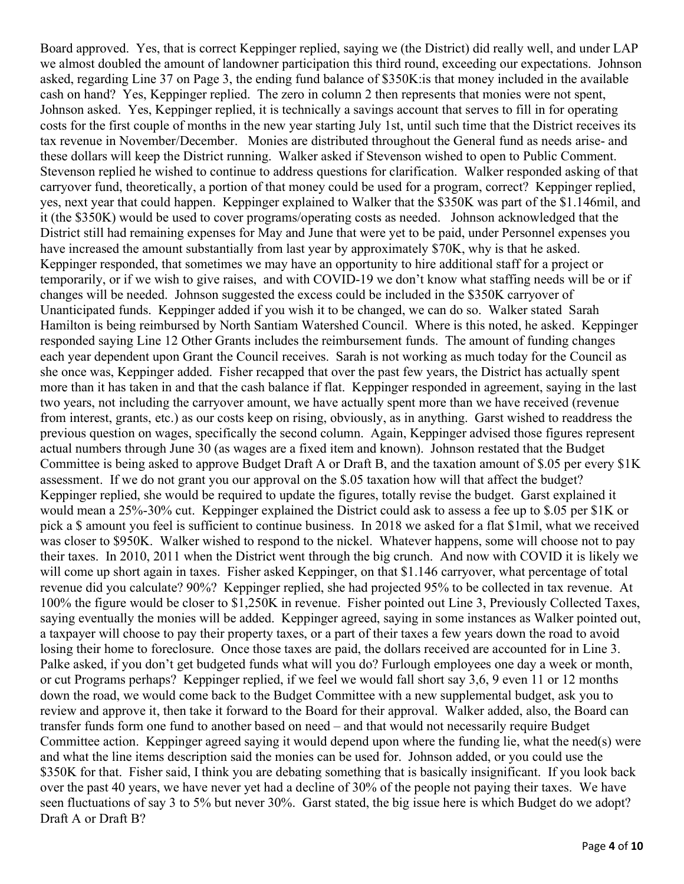Board approved. Yes, that is correct Keppinger replied, saying we (the District) did really well, and under LAP we almost doubled the amount of landowner participation this third round, exceeding our expectations. Johnson asked, regarding Line 37 on Page 3, the ending fund balance of \$350K:is that money included in the available cash on hand? Yes, Keppinger replied. The zero in column 2 then represents that monies were not spent, Johnson asked. Yes, Keppinger replied, it is technically a savings account that serves to fill in for operating costs for the first couple of months in the new year starting July 1st, until such time that the District receives its tax revenue in November/December. Monies are distributed throughout the General fund as needs arise- and these dollars will keep the District running. Walker asked if Stevenson wished to open to Public Comment. Stevenson replied he wished to continue to address questions for clarification. Walker responded asking of that carryover fund, theoretically, a portion of that money could be used for a program, correct? Keppinger replied, yes, next year that could happen. Keppinger explained to Walker that the \$350K was part of the \$1.146mil, and it (the \$350K) would be used to cover programs/operating costs as needed. Johnson acknowledged that the District still had remaining expenses for May and June that were yet to be paid, under Personnel expenses you have increased the amount substantially from last year by approximately \$70K, why is that he asked. Keppinger responded, that sometimes we may have an opportunity to hire additional staff for a project or temporarily, or if we wish to give raises, and with COVID-19 we don't know what staffing needs will be or if changes will be needed. Johnson suggested the excess could be included in the \$350K carryover of Unanticipated funds. Keppinger added if you wish it to be changed, we can do so. Walker stated Sarah Hamilton is being reimbursed by North Santiam Watershed Council. Where is this noted, he asked. Keppinger responded saying Line 12 Other Grants includes the reimbursement funds. The amount of funding changes each year dependent upon Grant the Council receives. Sarah is not working as much today for the Council as she once was, Keppinger added. Fisher recapped that over the past few years, the District has actually spent more than it has taken in and that the cash balance if flat. Keppinger responded in agreement, saying in the last two years, not including the carryover amount, we have actually spent more than we have received (revenue from interest, grants, etc.) as our costs keep on rising, obviously, as in anything. Garst wished to readdress the previous question on wages, specifically the second column. Again, Keppinger advised those figures represent actual numbers through June 30 (as wages are a fixed item and known). Johnson restated that the Budget Committee is being asked to approve Budget Draft A or Draft B, and the taxation amount of \$.05 per every \$1K assessment. If we do not grant you our approval on the \$.05 taxation how will that affect the budget? Keppinger replied, she would be required to update the figures, totally revise the budget. Garst explained it would mean a 25%-30% cut. Keppinger explained the District could ask to assess a fee up to \$.05 per \$1K or pick a \$ amount you feel is sufficient to continue business. In 2018 we asked for a flat \$1mil, what we received was closer to \$950K. Walker wished to respond to the nickel. Whatever happens, some will choose not to pay their taxes. In 2010, 2011 when the District went through the big crunch. And now with COVID it is likely we will come up short again in taxes. Fisher asked Keppinger, on that \$1.146 carryover, what percentage of total revenue did you calculate? 90%? Keppinger replied, she had projected 95% to be collected in tax revenue. At 100% the figure would be closer to \$1,250K in revenue. Fisher pointed out Line 3, Previously Collected Taxes, saying eventually the monies will be added. Keppinger agreed, saying in some instances as Walker pointed out, a taxpayer will choose to pay their property taxes, or a part of their taxes a few years down the road to avoid losing their home to foreclosure. Once those taxes are paid, the dollars received are accounted for in Line 3. Palke asked, if you don't get budgeted funds what will you do? Furlough employees one day a week or month, or cut Programs perhaps? Keppinger replied, if we feel we would fall short say 3,6, 9 even 11 or 12 months down the road, we would come back to the Budget Committee with a new supplemental budget, ask you to review and approve it, then take it forward to the Board for their approval. Walker added, also, the Board can transfer funds form one fund to another based on need – and that would not necessarily require Budget Committee action. Keppinger agreed saying it would depend upon where the funding lie, what the need(s) were and what the line items description said the monies can be used for. Johnson added, or you could use the \$350K for that. Fisher said, I think you are debating something that is basically insignificant. If you look back over the past 40 years, we have never yet had a decline of 30% of the people not paying their taxes. We have seen fluctuations of say 3 to 5% but never 30%. Garst stated, the big issue here is which Budget do we adopt? Draft A or Draft B?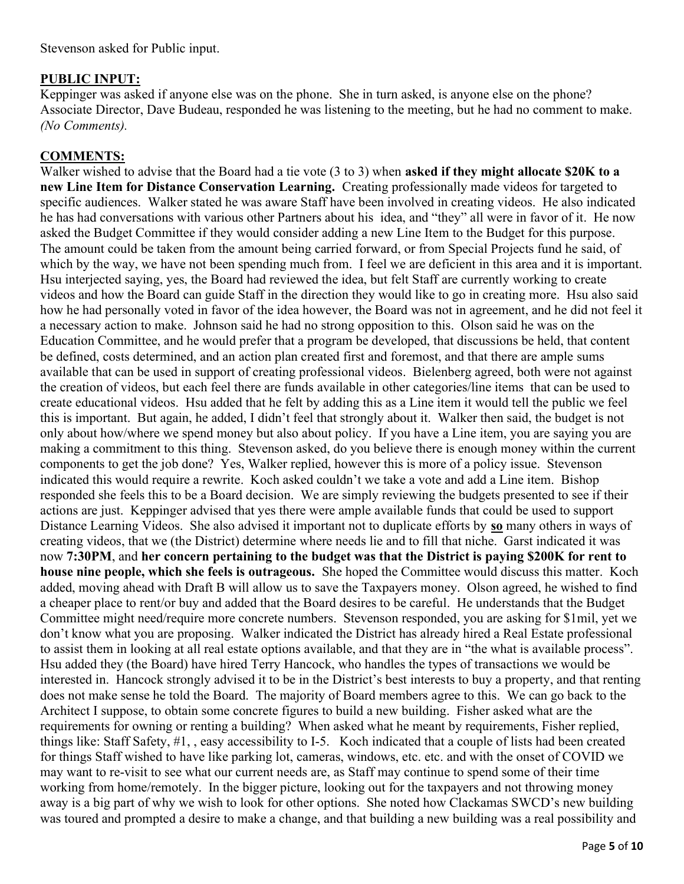## PUBLIC INPUT:

Keppinger was asked if anyone else was on the phone. She in turn asked, is anyone else on the phone? Associate Director, Dave Budeau, responded he was listening to the meeting, but he had no comment to make. (No Comments).

## COMMENTS:

Walker wished to advise that the Board had a tie vote (3 to 3) when asked if they might allocate \$20K to a new Line Item for Distance Conservation Learning. Creating professionally made videos for targeted to specific audiences. Walker stated he was aware Staff have been involved in creating videos. He also indicated he has had conversations with various other Partners about his idea, and "they" all were in favor of it. He now asked the Budget Committee if they would consider adding a new Line Item to the Budget for this purpose. The amount could be taken from the amount being carried forward, or from Special Projects fund he said, of which by the way, we have not been spending much from. I feel we are deficient in this area and it is important. Hsu interjected saying, yes, the Board had reviewed the idea, but felt Staff are currently working to create videos and how the Board can guide Staff in the direction they would like to go in creating more. Hsu also said how he had personally voted in favor of the idea however, the Board was not in agreement, and he did not feel it a necessary action to make. Johnson said he had no strong opposition to this. Olson said he was on the Education Committee, and he would prefer that a program be developed, that discussions be held, that content be defined, costs determined, and an action plan created first and foremost, and that there are ample sums available that can be used in support of creating professional videos. Bielenberg agreed, both were not against the creation of videos, but each feel there are funds available in other categories/line items that can be used to create educational videos. Hsu added that he felt by adding this as a Line item it would tell the public we feel this is important. But again, he added, I didn't feel that strongly about it. Walker then said, the budget is not only about how/where we spend money but also about policy. If you have a Line item, you are saying you are making a commitment to this thing. Stevenson asked, do you believe there is enough money within the current components to get the job done? Yes, Walker replied, however this is more of a policy issue. Stevenson indicated this would require a rewrite. Koch asked couldn't we take a vote and add a Line item. Bishop responded she feels this to be a Board decision. We are simply reviewing the budgets presented to see if their actions are just. Keppinger advised that yes there were ample available funds that could be used to support Distance Learning Videos. She also advised it important not to duplicate efforts by so many others in ways of creating videos, that we (the District) determine where needs lie and to fill that niche. Garst indicated it was now 7:30PM, and her concern pertaining to the budget was that the District is paying \$200K for rent to house nine people, which she feels is outrageous. She hoped the Committee would discuss this matter. Koch added, moving ahead with Draft B will allow us to save the Taxpayers money. Olson agreed, he wished to find a cheaper place to rent/or buy and added that the Board desires to be careful. He understands that the Budget Committee might need/require more concrete numbers. Stevenson responded, you are asking for \$1mil, yet we don't know what you are proposing. Walker indicated the District has already hired a Real Estate professional to assist them in looking at all real estate options available, and that they are in "the what is available process". Hsu added they (the Board) have hired Terry Hancock, who handles the types of transactions we would be interested in. Hancock strongly advised it to be in the District's best interests to buy a property, and that renting does not make sense he told the Board. The majority of Board members agree to this. We can go back to the Architect I suppose, to obtain some concrete figures to build a new building. Fisher asked what are the requirements for owning or renting a building? When asked what he meant by requirements, Fisher replied, things like: Staff Safety, #1, , easy accessibility to I-5. Koch indicated that a couple of lists had been created for things Staff wished to have like parking lot, cameras, windows, etc. etc. and with the onset of COVID we may want to re-visit to see what our current needs are, as Staff may continue to spend some of their time working from home/remotely. In the bigger picture, looking out for the taxpayers and not throwing money away is a big part of why we wish to look for other options. She noted how Clackamas SWCD's new building was toured and prompted a desire to make a change, and that building a new building was a real possibility and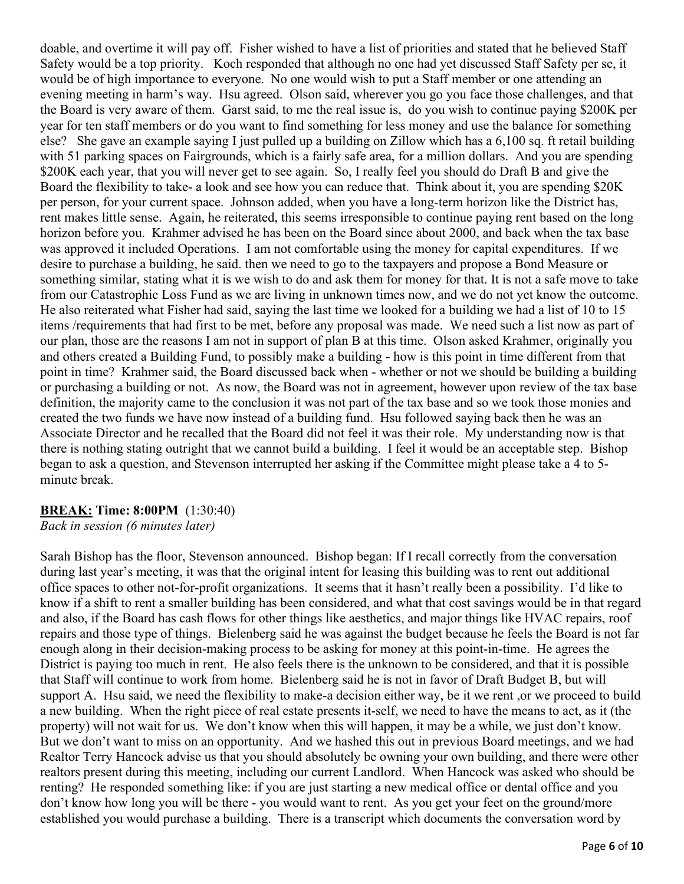doable, and overtime it will pay off. Fisher wished to have a list of priorities and stated that he believed Staff Safety would be a top priority. Koch responded that although no one had yet discussed Staff Safety per se, it would be of high importance to everyone. No one would wish to put a Staff member or one attending an evening meeting in harm's way. Hsu agreed. Olson said, wherever you go you face those challenges, and that the Board is very aware of them. Garst said, to me the real issue is, do you wish to continue paying \$200K per year for ten staff members or do you want to find something for less money and use the balance for something else? She gave an example saying I just pulled up a building on Zillow which has a 6,100 sq. ft retail building with 51 parking spaces on Fairgrounds, which is a fairly safe area, for a million dollars. And you are spending \$200K each year, that you will never get to see again. So, I really feel you should do Draft B and give the Board the flexibility to take- a look and see how you can reduce that. Think about it, you are spending \$20K per person, for your current space. Johnson added, when you have a long-term horizon like the District has, rent makes little sense. Again, he reiterated, this seems irresponsible to continue paying rent based on the long horizon before you. Krahmer advised he has been on the Board since about 2000, and back when the tax base was approved it included Operations. I am not comfortable using the money for capital expenditures. If we desire to purchase a building, he said. then we need to go to the taxpayers and propose a Bond Measure or something similar, stating what it is we wish to do and ask them for money for that. It is not a safe move to take from our Catastrophic Loss Fund as we are living in unknown times now, and we do not yet know the outcome. He also reiterated what Fisher had said, saying the last time we looked for a building we had a list of 10 to 15 items /requirements that had first to be met, before any proposal was made. We need such a list now as part of our plan, those are the reasons I am not in support of plan B at this time. Olson asked Krahmer, originally you and others created a Building Fund, to possibly make a building - how is this point in time different from that point in time? Krahmer said, the Board discussed back when - whether or not we should be building a building or purchasing a building or not. As now, the Board was not in agreement, however upon review of the tax base definition, the majority came to the conclusion it was not part of the tax base and so we took those monies and created the two funds we have now instead of a building fund. Hsu followed saying back then he was an Associate Director and he recalled that the Board did not feel it was their role. My understanding now is that there is nothing stating outright that we cannot build a building. I feel it would be an acceptable step. Bishop began to ask a question, and Stevenson interrupted her asking if the Committee might please take a 4 to 5 minute break.

#### BREAK: Time: 8:00PM (1:30:40)

Back in session (6 minutes later)

Sarah Bishop has the floor, Stevenson announced. Bishop began: If I recall correctly from the conversation during last year's meeting, it was that the original intent for leasing this building was to rent out additional office spaces to other not-for-profit organizations. It seems that it hasn't really been a possibility. I'd like to know if a shift to rent a smaller building has been considered, and what that cost savings would be in that regard and also, if the Board has cash flows for other things like aesthetics, and major things like HVAC repairs, roof repairs and those type of things. Bielenberg said he was against the budget because he feels the Board is not far enough along in their decision-making process to be asking for money at this point-in-time. He agrees the District is paying too much in rent. He also feels there is the unknown to be considered, and that it is possible that Staff will continue to work from home. Bielenberg said he is not in favor of Draft Budget B, but will support A. Hsu said, we need the flexibility to make-a decision either way, be it we rent ,or we proceed to build a new building. When the right piece of real estate presents it-self, we need to have the means to act, as it (the property) will not wait for us. We don't know when this will happen, it may be a while, we just don't know. But we don't want to miss on an opportunity. And we hashed this out in previous Board meetings, and we had Realtor Terry Hancock advise us that you should absolutely be owning your own building, and there were other realtors present during this meeting, including our current Landlord. When Hancock was asked who should be renting? He responded something like: if you are just starting a new medical office or dental office and you don't know how long you will be there - you would want to rent. As you get your feet on the ground/more established you would purchase a building. There is a transcript which documents the conversation word by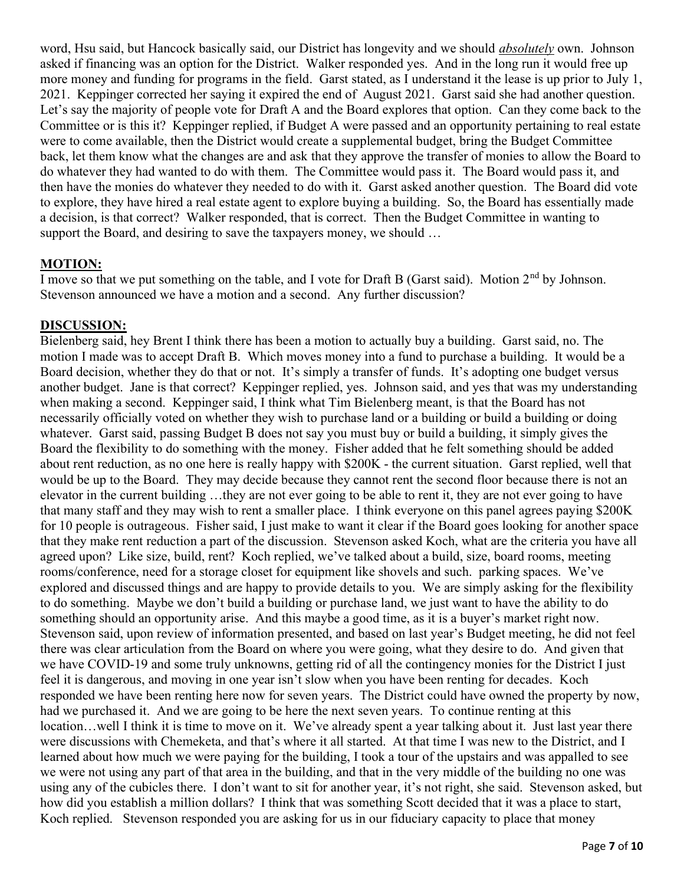word, Hsu said, but Hancock basically said, our District has longevity and we should *absolutely* own. Johnson asked if financing was an option for the District. Walker responded yes. And in the long run it would free up more money and funding for programs in the field. Garst stated, as I understand it the lease is up prior to July 1, 2021. Keppinger corrected her saying it expired the end of August 2021. Garst said she had another question. Let's say the majority of people vote for Draft A and the Board explores that option. Can they come back to the Committee or is this it? Keppinger replied, if Budget A were passed and an opportunity pertaining to real estate were to come available, then the District would create a supplemental budget, bring the Budget Committee back, let them know what the changes are and ask that they approve the transfer of monies to allow the Board to do whatever they had wanted to do with them. The Committee would pass it. The Board would pass it, and then have the monies do whatever they needed to do with it. Garst asked another question. The Board did vote to explore, they have hired a real estate agent to explore buying a building. So, the Board has essentially made a decision, is that correct? Walker responded, that is correct. Then the Budget Committee in wanting to support the Board, and desiring to save the taxpayers money, we should ...

## MOTION:

I move so that we put something on the table, and I vote for Draft B (Garst said). Motion 2<sup>nd</sup> by Johnson. Stevenson announced we have a motion and a second. Any further discussion?

## DISCUSSION:

Bielenberg said, hey Brent I think there has been a motion to actually buy a building. Garst said, no. The motion I made was to accept Draft B. Which moves money into a fund to purchase a building. It would be a Board decision, whether they do that or not. It's simply a transfer of funds. It's adopting one budget versus another budget. Jane is that correct? Keppinger replied, yes. Johnson said, and yes that was my understanding when making a second. Keppinger said, I think what Tim Bielenberg meant, is that the Board has not necessarily officially voted on whether they wish to purchase land or a building or build a building or doing whatever. Garst said, passing Budget B does not say you must buy or build a building, it simply gives the Board the flexibility to do something with the money. Fisher added that he felt something should be added about rent reduction, as no one here is really happy with \$200K - the current situation. Garst replied, well that would be up to the Board. They may decide because they cannot rent the second floor because there is not an elevator in the current building …they are not ever going to be able to rent it, they are not ever going to have that many staff and they may wish to rent a smaller place. I think everyone on this panel agrees paying \$200K for 10 people is outrageous. Fisher said, I just make to want it clear if the Board goes looking for another space that they make rent reduction a part of the discussion. Stevenson asked Koch, what are the criteria you have all agreed upon? Like size, build, rent? Koch replied, we've talked about a build, size, board rooms, meeting rooms/conference, need for a storage closet for equipment like shovels and such. parking spaces. We've explored and discussed things and are happy to provide details to you. We are simply asking for the flexibility to do something. Maybe we don't build a building or purchase land, we just want to have the ability to do something should an opportunity arise. And this maybe a good time, as it is a buyer's market right now. Stevenson said, upon review of information presented, and based on last year's Budget meeting, he did not feel there was clear articulation from the Board on where you were going, what they desire to do. And given that we have COVID-19 and some truly unknowns, getting rid of all the contingency monies for the District I just feel it is dangerous, and moving in one year isn't slow when you have been renting for decades. Koch responded we have been renting here now for seven years. The District could have owned the property by now, had we purchased it. And we are going to be here the next seven years. To continue renting at this location…well I think it is time to move on it. We've already spent a year talking about it. Just last year there were discussions with Chemeketa, and that's where it all started. At that time I was new to the District, and I learned about how much we were paying for the building, I took a tour of the upstairs and was appalled to see we were not using any part of that area in the building, and that in the very middle of the building no one was using any of the cubicles there. I don't want to sit for another year, it's not right, she said. Stevenson asked, but how did you establish a million dollars? I think that was something Scott decided that it was a place to start, Koch replied. Stevenson responded you are asking for us in our fiduciary capacity to place that money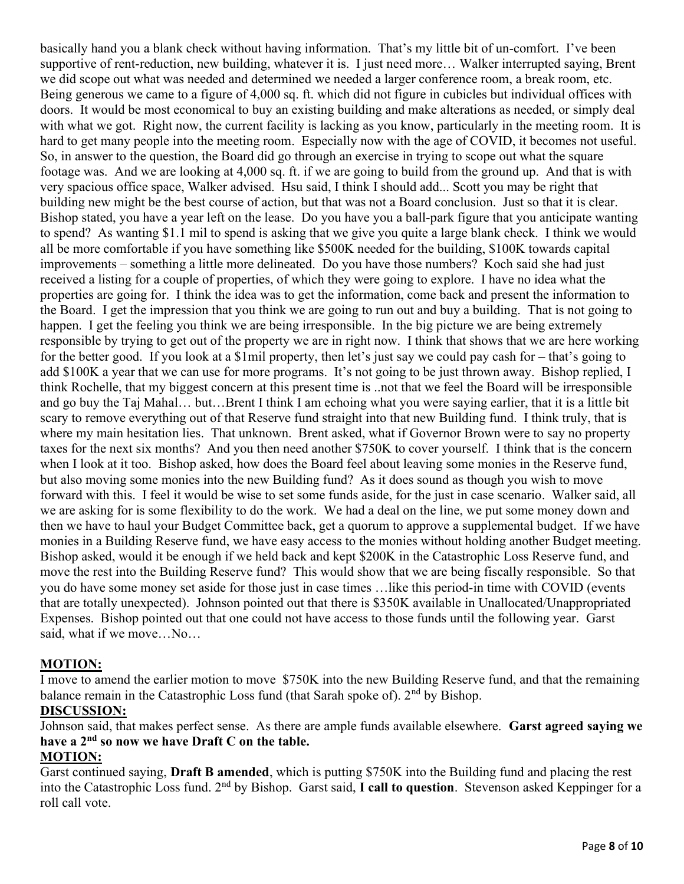basically hand you a blank check without having information. That's my little bit of un-comfort. I've been supportive of rent-reduction, new building, whatever it is. I just need more… Walker interrupted saying, Brent we did scope out what was needed and determined we needed a larger conference room, a break room, etc. Being generous we came to a figure of 4,000 sq. ft. which did not figure in cubicles but individual offices with doors. It would be most economical to buy an existing building and make alterations as needed, or simply deal with what we got. Right now, the current facility is lacking as you know, particularly in the meeting room. It is hard to get many people into the meeting room. Especially now with the age of COVID, it becomes not useful. So, in answer to the question, the Board did go through an exercise in trying to scope out what the square footage was. And we are looking at 4,000 sq. ft. if we are going to build from the ground up. And that is with very spacious office space, Walker advised. Hsu said, I think I should add... Scott you may be right that building new might be the best course of action, but that was not a Board conclusion. Just so that it is clear. Bishop stated, you have a year left on the lease. Do you have you a ball-park figure that you anticipate wanting to spend? As wanting \$1.1 mil to spend is asking that we give you quite a large blank check. I think we would all be more comfortable if you have something like \$500K needed for the building, \$100K towards capital improvements – something a little more delineated. Do you have those numbers? Koch said she had just received a listing for a couple of properties, of which they were going to explore. I have no idea what the properties are going for. I think the idea was to get the information, come back and present the information to the Board. I get the impression that you think we are going to run out and buy a building. That is not going to happen. I get the feeling you think we are being irresponsible. In the big picture we are being extremely responsible by trying to get out of the property we are in right now. I think that shows that we are here working for the better good. If you look at a \$1mil property, then let's just say we could pay cash for – that's going to add \$100K a year that we can use for more programs. It's not going to be just thrown away. Bishop replied, I think Rochelle, that my biggest concern at this present time is ..not that we feel the Board will be irresponsible and go buy the Taj Mahal… but…Brent I think I am echoing what you were saying earlier, that it is a little bit scary to remove everything out of that Reserve fund straight into that new Building fund. I think truly, that is where my main hesitation lies. That unknown. Brent asked, what if Governor Brown were to say no property taxes for the next six months? And you then need another \$750K to cover yourself. I think that is the concern when I look at it too. Bishop asked, how does the Board feel about leaving some monies in the Reserve fund, but also moving some monies into the new Building fund? As it does sound as though you wish to move forward with this. I feel it would be wise to set some funds aside, for the just in case scenario. Walker said, all we are asking for is some flexibility to do the work. We had a deal on the line, we put some money down and then we have to haul your Budget Committee back, get a quorum to approve a supplemental budget. If we have monies in a Building Reserve fund, we have easy access to the monies without holding another Budget meeting. Bishop asked, would it be enough if we held back and kept \$200K in the Catastrophic Loss Reserve fund, and move the rest into the Building Reserve fund? This would show that we are being fiscally responsible. So that you do have some money set aside for those just in case times …like this period-in time with COVID (events that are totally unexpected). Johnson pointed out that there is \$350K available in Unallocated/Unappropriated Expenses. Bishop pointed out that one could not have access to those funds until the following year. Garst said, what if we move…No…

#### MOTION:

I move to amend the earlier motion to move \$750K into the new Building Reserve fund, and that the remaining balance remain in the Catastrophic Loss fund (that Sarah spoke of).  $2<sup>nd</sup>$  by Bishop.

#### DISCUSSION:

Johnson said, that makes perfect sense. As there are ample funds available elsewhere. Garst agreed saying we have a  $2<sup>nd</sup>$  so now we have Draft C on the table.

## MOTION:

Garst continued saying, Draft B amended, which is putting \$750K into the Building fund and placing the rest into the Catastrophic Loss fund. 2<sup>nd</sup> by Bishop. Garst said, **I call to question**. Stevenson asked Keppinger for a roll call vote.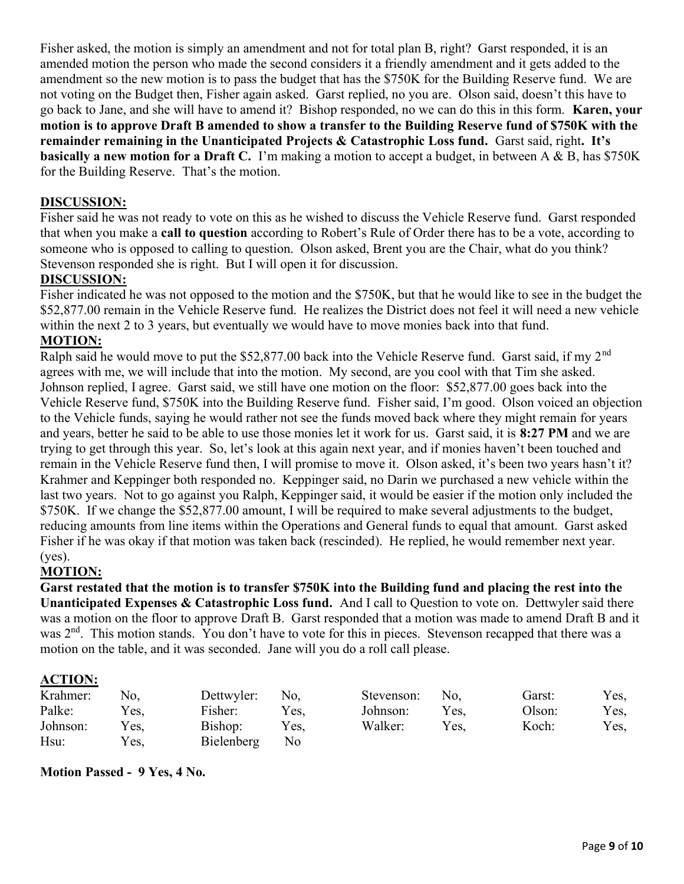Fisher asked, the motion is simply an amendment and not for total plan B, right? Garst responded, it is an amended motion the person who made the second considers it a friendly amendment and it gets added to the amendment so the new motion is to pass the budget that has the \$750K for the Building Reserve fund. We are not voting on the Budget then, Fisher again asked. Garst replied, no you are. Olson said, doesn't this have to go back to Jane, and she will have to amend it? Bishop responded, no we can do this in this form. Karen, your motion is to approve Draft B amended to show a transfer to the Building Reserve fund of \$750K with the remainder remaining in the Unanticipated Projects & Catastrophic Loss fund. Garst said, right. It's **basically a new motion for a Draft C.** I'm making a motion to accept a budget, in between A & B, has \$750K for the Building Reserve. That's the motion.

### DISCUSSION:

Fisher said he was not ready to vote on this as he wished to discuss the Vehicle Reserve fund. Garst responded that when you make a call to question according to Robert's Rule of Order there has to be a vote, according to someone who is opposed to calling to question. Olson asked, Brent you are the Chair, what do you think? Stevenson responded she is right. But I will open it for discussion.

#### DISCUSSION:

Fisher indicated he was not opposed to the motion and the \$750K, but that he would like to see in the budget the \$52,877.00 remain in the Vehicle Reserve fund. He realizes the District does not feel it will need a new vehicle within the next 2 to 3 years, but eventually we would have to move monies back into that fund.

#### MOTION:

Ralph said he would move to put the \$52,877.00 back into the Vehicle Reserve fund. Garst said, if my 2<sup>nd</sup> agrees with me, we will include that into the motion. My second, are you cool with that Tim she asked. Johnson replied, I agree. Garst said, we still have one motion on the floor: \$52,877.00 goes back into the Vehicle Reserve fund, \$750K into the Building Reserve fund. Fisher said, I'm good. Olson voiced an objection to the Vehicle funds, saying he would rather not see the funds moved back where they might remain for years and years, better he said to be able to use those monies let it work for us. Garst said, it is 8:27 PM and we are trying to get through this year. So, let's look at this again next year, and if monies haven't been touched and remain in the Vehicle Reserve fund then, I will promise to move it. Olson asked, it's been two years hasn't it? Krahmer and Keppinger both responded no. Keppinger said, no Darin we purchased a new vehicle within the last two years. Not to go against you Ralph, Keppinger said, it would be easier if the motion only included the \$750K. If we change the \$52,877.00 amount, I will be required to make several adjustments to the budget, reducing amounts from line items within the Operations and General funds to equal that amount. Garst asked Fisher if he was okay if that motion was taken back (rescinded). He replied, he would remember next year. (yes).

#### MOTION:

Garst restated that the motion is to transfer \$750K into the Building fund and placing the rest into the Unanticipated Expenses & Catastrophic Loss fund. And I call to Question to vote on. Dettwyler said there was a motion on the floor to approve Draft B. Garst responded that a motion was made to amend Draft B and it was 2<sup>nd</sup>. This motion stands. You don't have to vote for this in pieces. Stevenson recapped that there was a motion on the table, and it was seconded. Jane will you do a roll call please.

#### ACTION:

| Krahmer: | No.  | Dettwyler: | No.  | Stevenson: No. |      | Garst: | Yes, |
|----------|------|------------|------|----------------|------|--------|------|
| Palke:   | Yes, | Fisher:    | Yes. | Johnson:       | Yes. | Olson: | Yes, |
| Johnson: | Yes, | Bishop:    | Yes. | Walker:        | Yes. | Koch:  | Yes, |
| Hsu:     | Yes, | Bielenberg | No.  |                |      |        |      |

Motion Passed - 9 Yes, 4 No.